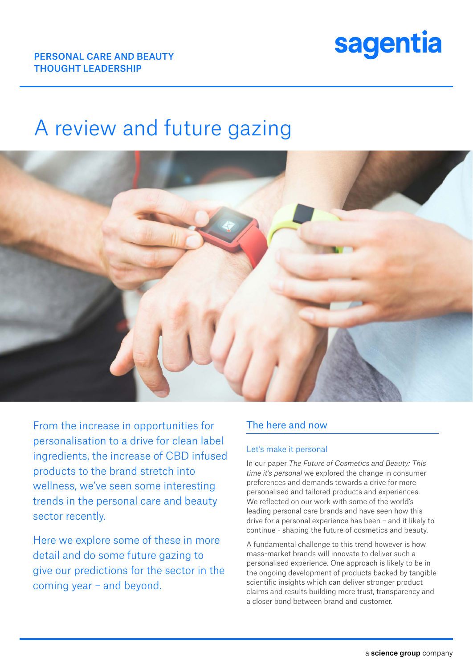

# A review and future gazing



From the increase in opportunities for personalisation to a drive for clean label ingredients, the increase of CBD infused products to the brand stretch into wellness, we've seen some interesting trends in the personal care and beauty sector recently.

Here we explore some of these in more detail and do some future gazing to give our predictions for the sector in the coming year – and beyond.

### The here and now

#### Let's make it personal

In our paper *The Future of Cosmetics and Beauty: This time it's personal* we explored the change in consumer preferences and demands towards a drive for more personalised and tailored products and experiences. We reflected on our work with some of the world's leading personal care brands and have seen how this drive for a personal experience has been – and it likely to continue - shaping the future of cosmetics and beauty.

A fundamental challenge to this trend however is how mass-market brands will innovate to deliver such a personalised experience. One approach is likely to be in the ongoing development of products backed by tangible scientific insights which can deliver stronger product claims and results building more trust, transparency and a closer bond between brand and customer.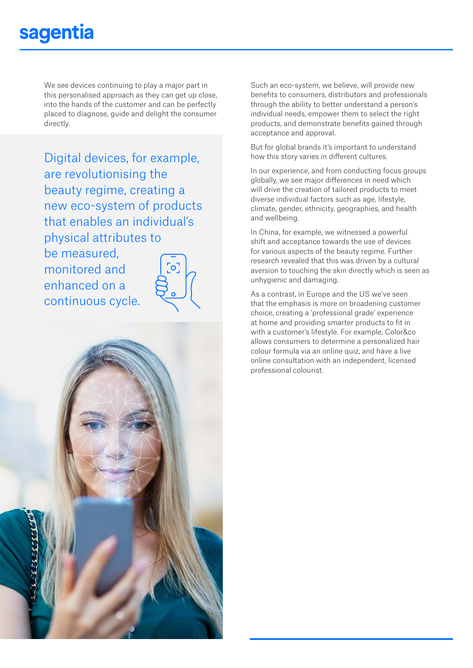## sagentia

We see devices continuing to play a major part in this personalised approach as they can get up close, into the hands of the customer and can be perfectly placed to diagnose, guide and delight the consumer directly.

Digital devices, for example, are revolutionising the beauty regime, creating a new eco-system of products that enables an individual's physical attributes to be measured,

monitored and enhanced on a continuous cycle.



Such an eco-system, we believe, will provide new benefits to consumers, distributors and professionals through the ability to better understand a person's individual needs, empower them to select the right products, and demonstrate benefits gained through acceptance and approval.

But for global brands it's important to understand how this story varies in different cultures.

In our experience, and from conducting focus groups globally, we see major differences in need which will drive the creation of tailored products to meet diverse individual factors such as age, lifestyle, climate, gender, ethnicity, geographies, and health and wellbeing.

In China, for example, we witnessed a powerful shift and acceptance towards the use of devices for various aspects of the beauty regime. Further research revealed that this was driven by a cultural aversion to touching the skin directly which is seen as unhygienic and damaging.

As a contrast, in Europe and the US we've seen that the emphasis is more on broadening customer choice, creating a 'professional grade' experience at home and providing smarter products to fit in with a customer's lifestyle. For example, Color&co allows consumers to determine a personalized hair colour formula via an online quiz, and have a live online consultation with an independent, licensed professional colourist.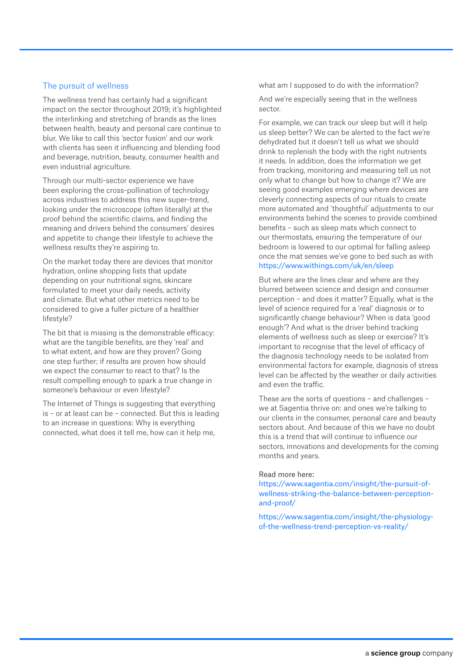#### The pursuit of wellness

The wellness trend has certainly had a significant impact on the sector throughout 2019; it's highlighted the interlinking and stretching of brands as the lines between health, beauty and personal care continue to blur. We like to call this 'sector fusion' and our work with clients has seen it influencing and blending food and beverage, nutrition, beauty, consumer health and even industrial agriculture.

Through our multi-sector experience we have been exploring the cross-pollination of technology across industries to address this new super-trend, looking under the microscope (often literally) at the proof behind the scientific claims, and finding the meaning and drivers behind the consumers' desires and appetite to change their lifestyle to achieve the wellness results they're aspiring to.

On the market today there are devices that monitor hydration, online shopping lists that update depending on your nutritional signs, skincare formulated to meet your daily needs, activity and climate. But what other metrics need to be considered to give a fuller picture of a healthier lifestyle?

The bit that is missing is the demonstrable efficacy: what are the tangible benefits, are they 'real' and to what extent, and how are they proven? Going one step further; if results are proven how should we expect the consumer to react to that? Is the result compelling enough to spark a true change in someone's behaviour or even lifestyle?

The Internet of Things is suggesting that everything is – or at least can be – connected. But this is leading to an increase in questions: Why is everything connected, what does it tell me, how can it help me,

what am I supposed to do with the information?

And we're especially seeing that in the wellness sector.

For example, we can track our sleep but will it help us sleep better? We can be alerted to the fact we're dehydrated but it doesn't tell us what we should drink to replenish the body with the right nutrients it needs. In addition, does the information we get from tracking, monitoring and measuring tell us not only what to change but how to change it? We are seeing good examples emerging where devices are cleverly connecting aspects of our rituals to create more automated and 'thoughtful' adjustments to our environments behind the scenes to provide combined benefits – such as sleep mats which connect to our thermostats, ensuring the temperature of our bedroom is lowered to our optimal for falling asleep once the mat senses we've gone to bed such as with https://www.withings.com/uk/en/sleep

But where are the lines clear and where are they blurred between science and design and consumer perception – and does it matter? Equally, what is the level of science required for a 'real' diagnosis or to significantly change behaviour? When is data 'good enough'? And what is the driver behind tracking elements of wellness such as sleep or exercise? It's important to recognise that the level of efficacy of the diagnosis technology needs to be isolated from environmental factors for example, diagnosis of stress level can be affected by the weather or daily activities and even the traffic.

These are the sorts of questions – and challenges – we at Sagentia thrive on: and ones we're talking to our clients in the consumer, personal care and beauty sectors about. And because of this we have no doubt this is a trend that will continue to influence our sectors, innovations and developments for the coming months and years.

#### Read more here:

https://www.sagentia.com/insight/the-pursuit-ofwellness-striking-the-balance-between-perceptionand-proof/

https://www.sagentia.com/insight/the-physiologyof-the-wellness-trend-perception-vs-reality/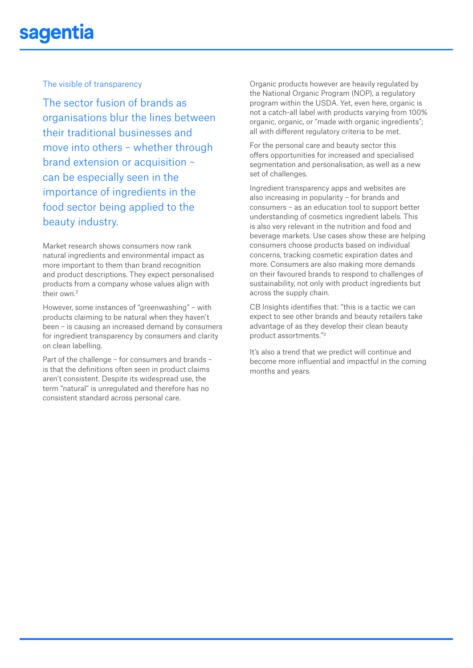## sagentia

The visible of transparency

The sector fusion of brands as organisations blur the lines between their traditional businesses and move into others – whether through brand extension or acquisition – can be especially seen in the importance of ingredients in the food sector being applied to the beauty industry.

Market research shows consumers now rank natural ingredients and environmental impact as more important to them than brand recognition and product descriptions. They expect personalised products from a company whose values align with their own.2

However, some instances of "greenwashing" – with products claiming to be natural when they haven't been – is causing an increased demand by consumers for ingredient transparency by consumers and clarity on clean labelling.

Part of the challenge – for consumers and brands – is that the definitions often seen in product claims aren't consistent. Despite its widespread use, the term "natural" is unregulated and therefore has no consistent standard across personal care.

Organic products however are heavily regulated by the National Organic Program (NOP), a regulatory program within the USDA. Yet, even here, organic is not a catch-all label with products varying from 100% organic, organic, or "made with organic ingredients"; all with different regulatory criteria to be met.

For the personal care and beauty sector this offers opportunities for increased and specialised segmentation and personalisation, as well as a new set of challenges.

Ingredient transparency apps and websites are also increasing in popularity – for brands and consumers – as an education tool to support better understanding of cosmetics ingredient labels. This is also very relevant in the nutrition and food and beverage markets. Use cases show these are helping consumers choose products based on individual concerns, tracking cosmetic expiration dates and more. Consumers are also making more demands on their favoured brands to respond to challenges of sustainability, not only with product ingredients but across the supply chain.

CB Insights identifies that: "this is a tactic we can expect to see other brands and beauty retailers take advantage of as they develop their clean beauty product assortments."3

It's also a trend that we predict will continue and become more influential and impactful in the coming months and years.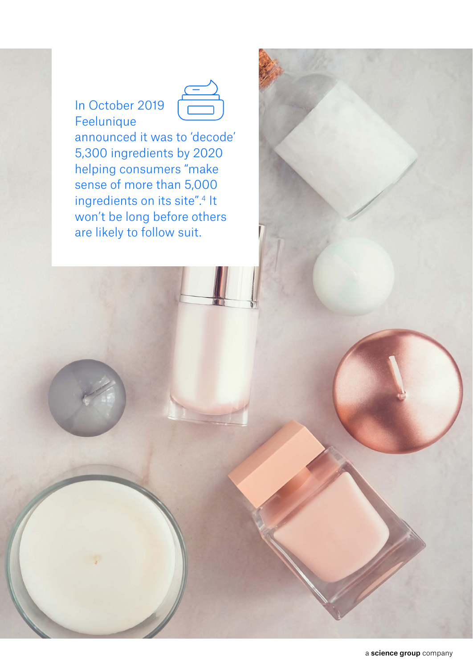## In October 2019 Feelunique



announced it was to 'decode' 5,300 ingredients by 2020 helping consumers "make sense of more than 5,000 ingredients on its site".<sup>4</sup> It won't be long before others are likely to follow suit.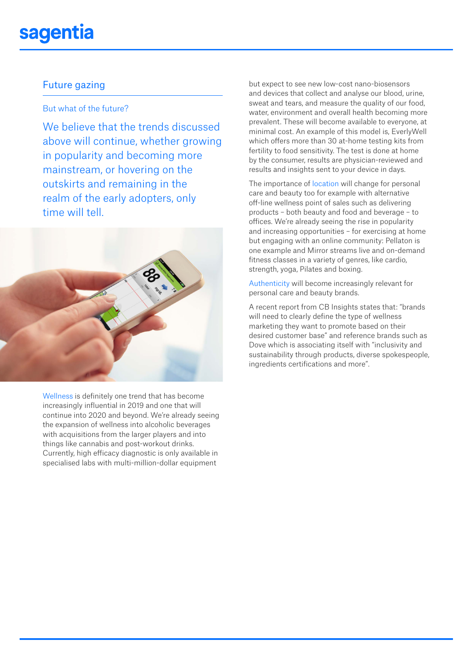## sagentia

### Future gazing

### But what of the future?

We believe that the trends discussed above will continue, whether growing in popularity and becoming more mainstream, or hovering on the outskirts and remaining in the realm of the early adopters, only time will tell.



Wellness is definitely one trend that has become increasingly influential in 2019 and one that will continue into 2020 and beyond. We're already seeing the expansion of wellness into alcoholic beverages with acquisitions from the larger players and into things like cannabis and post-workout drinks. Currently, high efficacy diagnostic is only available in specialised labs with multi-million-dollar equipment

but expect to see new low-cost nano-biosensors and devices that collect and analyse our blood, urine, sweat and tears, and measure the quality of our food, water, environment and overall health becoming more prevalent. These will become available to everyone, at minimal cost. An example of this model is, EverlyWell which offers more than 30 at-home testing kits from fertility to food sensitivity. The test is done at home by the consumer, results are physician-reviewed and results and insights sent to your device in days.

The importance of location will change for personal care and beauty too for example with alternative off-line wellness point of sales such as delivering products – both beauty and food and beverage – to offices. We're already seeing the rise in popularity and increasing opportunities – for exercising at home but engaging with an online community: Pellaton is one example and Mirror streams live and on-demand fitness classes in a variety of genres, like cardio, strength, yoga, Pilates and boxing.

Authenticity will become increasingly relevant for personal care and beauty brands.

A recent report from CB Insights states that: "brands will need to clearly define the type of wellness marketing they want to promote based on their desired customer base" and reference brands such as Dove which is associating itself with "inclusivity and sustainability through products, diverse spokespeople, ingredients certifications and more".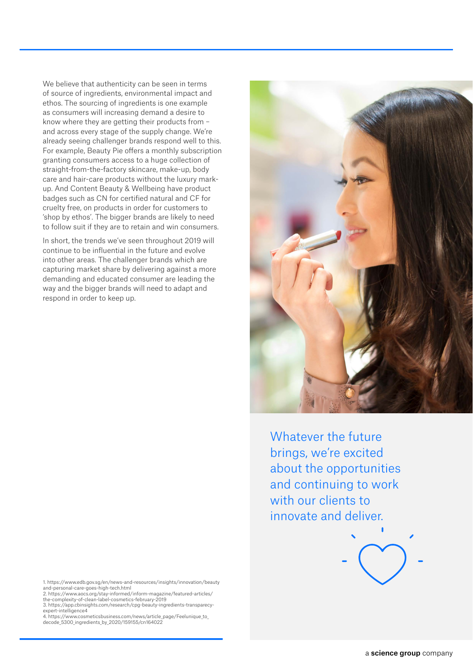We believe that authenticity can be seen in terms of source of ingredients, environmental impact and ethos. The sourcing of ingredients is one example as consumers will increasing demand a desire to know where they are getting their products from – and across every stage of the supply change. We're already seeing challenger brands respond well to this. For example, Beauty Pie offers a monthly subscription granting consumers access to a huge collection of straight-from-the-factory skincare, make-up, body care and hair-care products without the luxury markup. And Content Beauty & Wellbeing have product badges such as CN for certified natural and CF for cruelty free, on products in order for customers to 'shop by ethos'. The bigger brands are likely to need to follow suit if they are to retain and win consumers.

In short, the trends we've seen throughout 2019 will continue to be influential in the future and evolve into other areas. The challenger brands which are capturing market share by delivering against a more demanding and educated consumer are leading the way and the bigger brands will need to adapt and respond in order to keep up.

1. https://www.edb.gov.sg/en/news-and-resources/insights/innovation/beauty and-personal-care-goes-high-tech.html

- 2. https://www.aocs.org/stay-informed/inform-magazine/featured-articles/ the-complexity-of-clean-label-cosmetics-february-2019
- 3. https://app.cbinsights.com/research/cpg-beauty-ingredients-transparecyexpert-intelligence4
- 4. https://www.cosmeticsbusiness.com/news/article\_page/Feelunique\_to\_<br>decode 5300 ingredients by 2020/159155/cn164022



Whatever the future brings, we're excited about the opportunities and continuing to work with our clients to innovate and deliver.